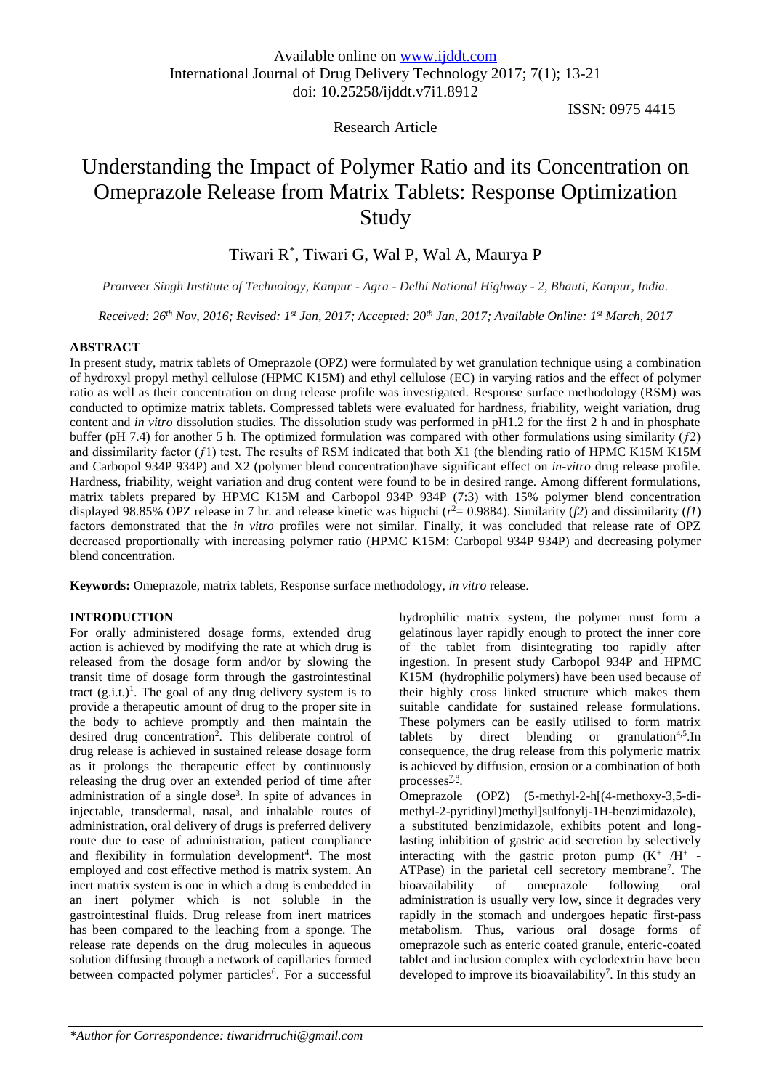# Research Article

# ISSN: 0975 4415

# Understanding the Impact of Polymer Ratio and its Concentration on Omeprazole Release from Matrix Tablets: Response Optimization Study

# Tiwari R\* , Tiwari G, Wal P, Wal A, Maurya P

*Pranveer Singh Institute of Technology, Kanpur - Agra - Delhi National Highway - 2, Bhauti, Kanpur, India.*

*Received: 26th Nov, 2016; Revised: 1st Jan, 2017; Accepted: 20th Jan, 2017; Available Online: 1 st March, 2017*

## **ABSTRACT**

In present study, matrix tablets of Omeprazole (OPZ) were formulated by wet granulation technique using a combination of hydroxyl propyl methyl cellulose (HPMC K15M) and ethyl cellulose (EC) in varying ratios and the effect of polymer ratio as well as their concentration on drug release profile was investigated. Response surface methodology (RSM) was conducted to optimize matrix tablets. Compressed tablets were evaluated for hardness, friability, weight variation, drug content and *in vitro* dissolution studies. The dissolution study was performed in pH1.2 for the first 2 h and in phosphate buffer (pH 7.4) for another 5 h. The optimized formulation was compared with other formulations using similarity  $(f2)$ and dissimilarity factor (ƒ1) test. The results of RSM indicated that both X1 (the blending ratio of HPMC K15M K15M and Carbopol 934P 934P) and X2 (polymer blend concentration)have significant effect on *in-vitro* drug release profile. Hardness, friability, weight variation and drug content were found to be in desired range. Among different formulations, matrix tablets prepared by HPMC K15M and Carbopol 934P 934P (7:3) with 15% polymer blend concentration displayed 98.85% OPZ release in 7 hr. and release kinetic was higuchi ( $r^2$  = 0.9884). Similarity ( $f$ 2) and dissimilarity ( $f$ 1) factors demonstrated that the *in vitro* profiles were not similar. Finally, it was concluded that release rate of OPZ decreased proportionally with increasing polymer ratio (HPMC K15M: Carbopol 934P 934P) and decreasing polymer blend concentration.

**Keywords:** Omeprazole, matrix tablets, Response surface methodology, *in vitro* release.

#### **INTRODUCTION**

For orally administered dosage forms, extended drug action is achieved by modifying the rate at which drug is released from the dosage form and/or by slowing the transit time of dosage form through the gastrointestinal tract  $(g.i.t.)<sup>1</sup>$ . The goal of any drug delivery system is to provide a therapeutic amount of drug to the proper site in the body to achieve promptly and then maintain the desired drug concentration<sup>2</sup>. This deliberate control of drug release is achieved in sustained release dosage form as it prolongs the therapeutic effect by continuously releasing the drug over an extended period of time after administration of a single dose<sup>3</sup>. In spite of advances in injectable, transdermal, nasal, and inhalable routes of administration, oral delivery of drugs is preferred delivery route due to ease of administration, patient compliance and flexibility in formulation development<sup>4</sup>. The most employed and cost effective method is matrix system. An inert matrix system is one in which a drug is embedded in an inert polymer which is not soluble in the gastrointestinal fluids. Drug release from inert matrices has been compared to the leaching from a sponge. The release rate depends on the drug molecules in aqueous solution diffusing through a network of capillaries formed between compacted polymer particles<sup>6</sup>. For a successful hydrophilic matrix system, the polymer must form a gelatinous layer rapidly enough to protect the inner core of the tablet from disintegrating too rapidly after ingestion. In present study Carbopol 934P and HPMC K15M (hydrophilic polymers) have been used because of their highly cross linked structure which makes them suitable candidate for sustained release formulations. These polymers can be easily utilised to form matrix tablets by direct blending or granulation<sup>4,5</sup>. In consequence, the drug release from this polymeric matrix is achieved by diffusion, erosion or a combination of both processes<sup>[7,](https://www.ncbi.nlm.nih.gov/pmc/articles/PMC3513448/#CR7)[8](https://www.ncbi.nlm.nih.gov/pmc/articles/PMC3513448/#CR8)</sup>.

Omeprazole (OPZ) (5-methyl-2-h[(4-methoxy-3,5-dimethyl-2-pyridinyl)methyl]sulfonylj-1H-benzimidazole), a substituted benzimidazole, exhibits potent and longlasting inhibition of gastric acid secretion by selectively interacting with the gastric proton pump  $(K^+ / H^+ -$ ATPase) in the parietal cell secretory membrane<sup>7</sup>. The bioavailability of omeprazole following oral administration is usually very low, since it degrades very rapidly in the stomach and undergoes hepatic first-pass metabolism. Thus, various oral dosage forms of omeprazole such as enteric coated granule, enteric-coated tablet and inclusion complex with cyclodextrin have been developed to improve its bioavailability<sup>7</sup>. In this study an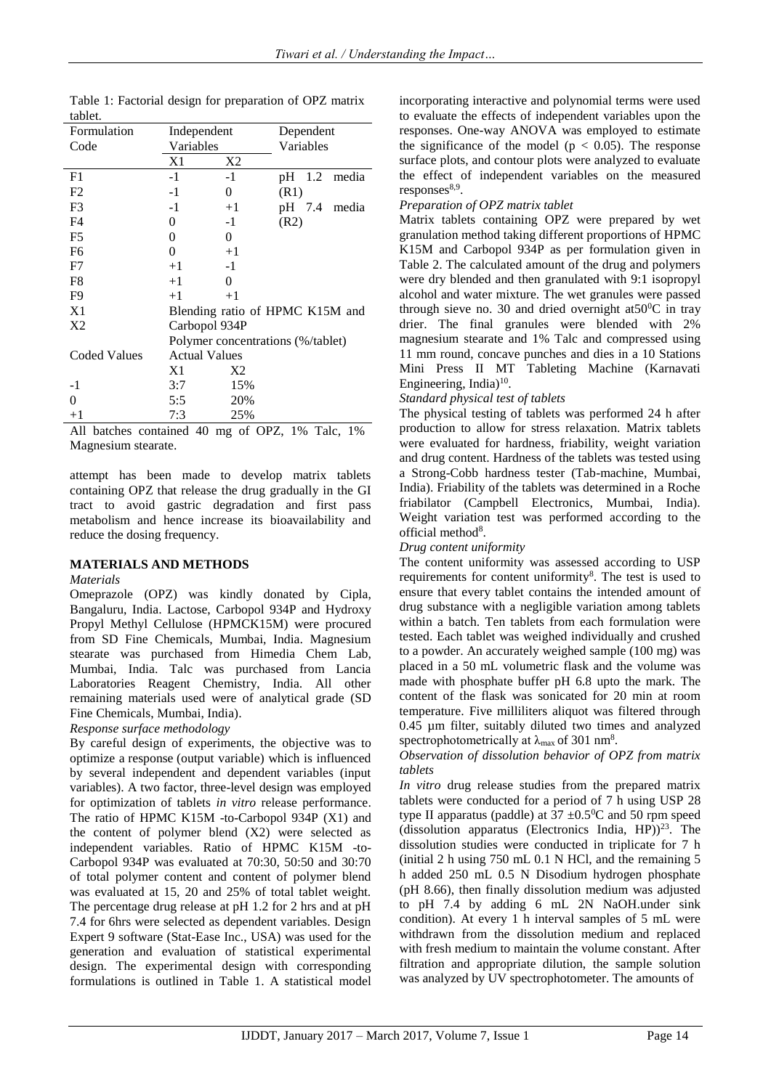| Formulation         | Independent          |                | Dependent                         |  |  |  |  |
|---------------------|----------------------|----------------|-----------------------------------|--|--|--|--|
| Code                | Variables            |                | Variables                         |  |  |  |  |
|                     | X1                   | X2             |                                   |  |  |  |  |
| F1                  | $-1$                 | $-1$           | pH 1.2 media                      |  |  |  |  |
| F <sub>2</sub>      | $-1$                 | 0              | (R1)                              |  |  |  |  |
| F <sub>3</sub>      | $-1$                 | $+1$           | pH 7.4 media                      |  |  |  |  |
| F <sub>4</sub>      | 0                    | -1             | (R2)                              |  |  |  |  |
| F <sub>5</sub>      | 0                    | 0              |                                   |  |  |  |  |
| F6                  | 0                    | $+1$           |                                   |  |  |  |  |
| F7                  | $+1$                 | $-1$           |                                   |  |  |  |  |
| F8                  | $+1$                 | 0              |                                   |  |  |  |  |
| F <sub>9</sub>      | $+1$                 | $+1$           |                                   |  |  |  |  |
| X1                  |                      |                | Blending ratio of HPMC K15M and   |  |  |  |  |
| X2                  | Carbopol 934P        |                |                                   |  |  |  |  |
|                     |                      |                | Polymer concentrations (%/tablet) |  |  |  |  |
| <b>Coded Values</b> | <b>Actual Values</b> |                |                                   |  |  |  |  |
|                     | X1                   | X <sub>2</sub> |                                   |  |  |  |  |
| $-1$                | 3:7                  | 15%            |                                   |  |  |  |  |
| $\theta$            | 5:5                  | 20%            |                                   |  |  |  |  |
| $+1$                | 7:3                  | 25%            |                                   |  |  |  |  |

Table 1: Factorial design for preparation of OPZ matrix tablet

All batches contained 40 mg of OPZ, 1% Talc, 1% Magnesium stearate.

attempt has been made to develop matrix tablets containing OPZ that release the drug gradually in the GI tract to avoid gastric degradation and first pass metabolism and hence increase its bioavailability and reduce the dosing frequency.

# **MATERIALS AND METHODS**

#### *Materials*

Omeprazole (OPZ) was kindly donated by Cipla, Bangaluru, India. Lactose, Carbopol 934P and Hydroxy Propyl Methyl Cellulose (HPMCK15M) were procured from SD Fine Chemicals, Mumbai, India. Magnesium stearate was purchased from Himedia Chem Lab, Mumbai, India. Talc was purchased from Lancia Laboratories Reagent Chemistry, India. All other remaining materials used were of analytical grade (SD Fine Chemicals, Mumbai, India).

# *Response surface methodology*

By careful design of experiments, the objective was to optimize a response (output variable) which is influenced by several independent and dependent variables (input variables). A two factor, three-level design was employed for optimization of tablets *in vitro* release performance. The ratio of HPMC K15M -to-Carbopol 934P (X1) and the content of polymer blend (X2) were selected as independent variables. Ratio of HPMC K15M -to-Carbopol 934P was evaluated at 70:30, 50:50 and 30:70 of total polymer content and content of polymer blend was evaluated at 15, 20 and 25% of total tablet weight. The percentage drug release at pH 1.2 for 2 hrs and at pH 7.4 for 6hrs were selected as dependent variables. Design Expert 9 software (Stat-Ease Inc., USA) was used for the generation and evaluation of statistical experimental design. The experimental design with corresponding formulations is outlined in Table 1. A statistical model

incorporating interactive and polynomial terms were used to evaluate the effects of independent variables upon the responses. One-way ANOVA was employed to estimate the significance of the model ( $p < 0.05$ ). The response surface plots, and contour plots were analyzed to evaluate the effect of independent variables on the measured responses<sup>8,9</sup>.

## *Preparation of OPZ matrix tablet*

Matrix tablets containing OPZ were prepared by wet granulation method taking different proportions of HPMC K15M and Carbopol 934P as per formulation given in Table 2. The calculated amount of the drug and polymers were dry blended and then granulated with 9:1 isopropyl alcohol and water mixture. The wet granules were passed through sieve no. 30 and dried overnight at  $50^{\circ}$ C in tray drier. The final granules were blended with 2% magnesium stearate and 1% Talc and compressed using 11 mm round, concave punches and dies in a 10 Stations Mini Press II MT Tableting Machine (Karnavati Engineering, India)<sup>10</sup>.

## *Standard physical test of tablets*

The physical testing of tablets was performed 24 h after production to allow for stress relaxation. Matrix tablets were evaluated for hardness, friability, weight variation and drug content. Hardness of the tablets was tested using a Strong-Cobb hardness tester (Tab-machine, Mumbai, India). Friability of the tablets was determined in a Roche friabilator (Campbell Electronics, Mumbai, India). Weight variation test was performed according to the official method<sup>8</sup>.

#### *Drug content uniformity*

The content uniformity was assessed according to USP requirements for content uniformity<sup>8</sup>. The test is used to ensure that every tablet contains the intended amount of drug substance with a negligible variation among tablets within a batch. Ten tablets from each formulation were tested. Each tablet was weighed individually and crushed to a powder. An accurately weighed sample (100 mg) was placed in a 50 mL volumetric flask and the volume was made with phosphate buffer pH 6.8 upto the mark. The content of the flask was sonicated for 20 min at room temperature. Five milliliters aliquot was filtered through 0.45 µm filter, suitably diluted two times and analyzed spectrophotometrically at  $\lambda_{\text{max}}$  of 301 nm<sup>8</sup>.

*Observation of dissolution behavior of OPZ from matrix tablets*

*In vitro* drug release studies from the prepared matrix tablets were conducted for a period of 7 h using USP 28 type II apparatus (paddle) at  $37 \pm 0.5^{\circ}$ C and 50 rpm speed (dissolution apparatus (Electronics India,  $HP$ ))<sup>23</sup>. The dissolution studies were conducted in triplicate for 7 h (initial 2 h using 750 mL 0.1 N HCl, and the remaining 5 h added 250 mL 0.5 N Disodium hydrogen phosphate (pH 8.66), then finally dissolution medium was adjusted to pH 7.4 by adding 6 mL 2N NaOH.under sink condition). At every 1 h interval samples of 5 mL were withdrawn from the dissolution medium and replaced with fresh medium to maintain the volume constant. After filtration and appropriate dilution, the sample solution was analyzed by UV spectrophotometer. The amounts of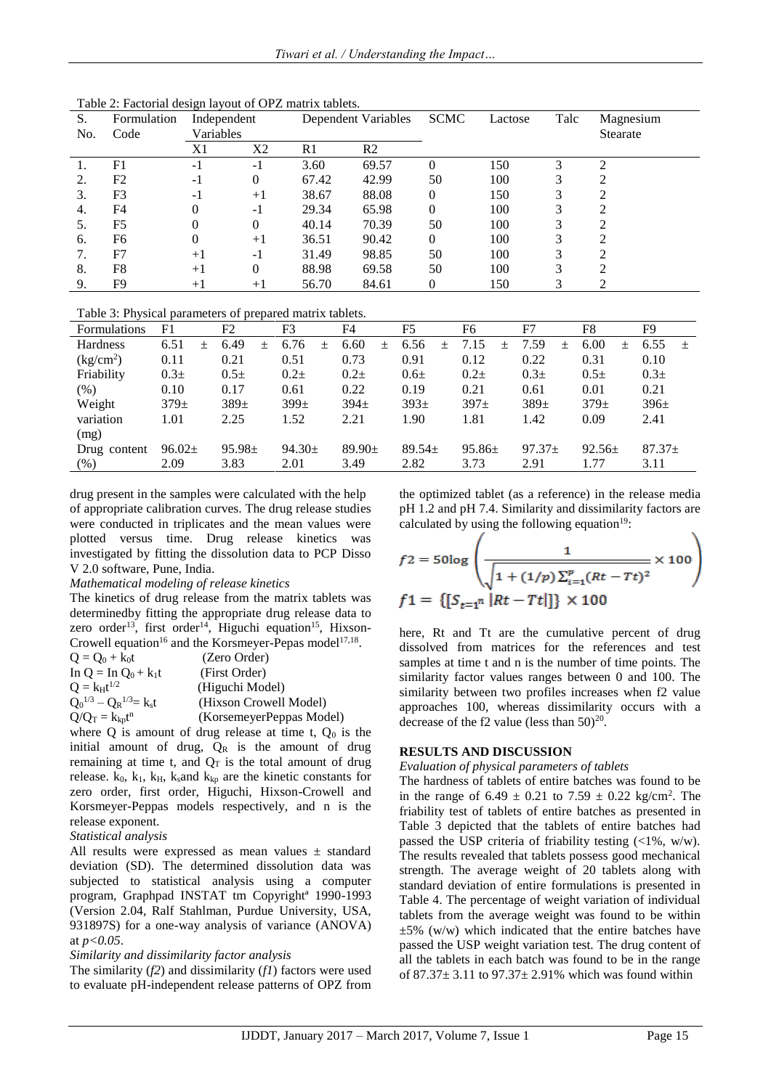| S.  | Formulation    | Independent |          | Dependent Variables |                | <b>SCMC</b> | Lactose | Talc | Magnesium       |
|-----|----------------|-------------|----------|---------------------|----------------|-------------|---------|------|-----------------|
| No. | Code           | Variables   |          |                     |                |             |         |      | <b>Stearate</b> |
|     |                | X1          | X2       | R1                  | R <sub>2</sub> |             |         |      |                 |
|     | F1             | $-1$        | $-1$     | 3.60                | 69.57          |             | 150     |      | ◠               |
| 2.  | F2             | $-1$        | $\theta$ | 67.42               | 42.99          | 50          | 100     | 3    |                 |
| 3.  | F3             | $-1$        | $+1$     | 38.67               | 88.08          |             | 150     | 3    |                 |
| 4.  | F4             | 0           | $-1$     | 29.34               | 65.98          |             | 100     | 3    |                 |
| -5. | F <sub>5</sub> | $^{(1)}$    | $\theta$ | 40.14               | 70.39          | 50          | 100     | 3    |                 |
| 6.  | F6             | 0           | $+1$     | 36.51               | 90.42          | $\Omega$    | 100     | 3    |                 |
|     | F7             | $+1$        | $-1$     | 31.49               | 98.85          | 50          | 100     | 3    |                 |
| 8.  | F8             | $+1$        | $\Omega$ | 88.98               | 69.58          | 50          | 100     | 3    |                 |
| 9.  | F9             | $+1$        | $+1$     | 56.70               | 84.61          |             | 150     | 3    |                 |

Table 2: Factorial design layout of OPZ matrix tablets.

Table 3: Physical parameters of prepared matrix tablets.

| Table 5. I hysical parameters of prepared matrix tablets. |                  |     |             |     |             |        |             |     |                  |     |            |        |             |        |             |     |          |     |
|-----------------------------------------------------------|------------------|-----|-------------|-----|-------------|--------|-------------|-----|------------------|-----|------------|--------|-------------|--------|-------------|-----|----------|-----|
| <b>Formulations</b>                                       | F1               |     | F2          |     | F3          |        | F4          |     | F <sub>5</sub>   |     | F6         |        | F7          |        | F8          |     | F9       |     |
| <b>Hardness</b>                                           | 6.51             | $+$ | 6.49        | $+$ | 6.76        | $^{+}$ | 6.60        | $+$ | 6.56             | $+$ | 7.15       | $^{+}$ | 7.59        | $^{+}$ | 6.00        | $+$ | 6.55     | $+$ |
| $\frac{\text{kg/cm}^2}{\text{m}^2}$                       | 0.11             |     | 0.21        |     | 0.51        |        | 0.73        |     | 0.91             |     | 0.12       |        | 0.22        |        | 0.31        |     | 0.10     |     |
| Friability                                                | 0.3 <sub>±</sub> |     | $0.5 +$     |     | $0.2 +$     |        | $0.2 +$     |     | 0.6 <sub>±</sub> |     | $0.2\pm$   |        | $0.3 +$     |        | $0.5 +$     |     | $0.3\pm$ |     |
| $(\%)$                                                    | 0.10             |     | 0.17        |     | 0.61        |        | 0.22        |     | 0.19             |     | 0.21       |        | 0.61        |        | 0.01        |     | 0.21     |     |
| Weight                                                    | $379+$           |     | $389+$      |     | $399+$      |        | $394+$      |     | $393+$           |     | $397+$     |        | $389+$      |        | $379 +$     |     | $396\pm$ |     |
| variation                                                 | 1.01             |     | 2.25        |     | 1.52        |        | 2.21        |     | 1.90             |     | 1.81       |        | 1.42        |        | 0.09        |     | 2.41     |     |
| (mg)                                                      |                  |     |             |     |             |        |             |     |                  |     |            |        |             |        |             |     |          |     |
| Drug content                                              | $96.02\pm$       |     | $95.98 \pm$ |     | $94.30 \pm$ |        | $89.90 \pm$ |     | $89.54 \pm$      |     | $95.86\pm$ |        | $97.37 \pm$ |        | $92.56 \pm$ |     | $87.37+$ |     |
| $(\%)$                                                    | 2.09             |     | 3.83        |     | 2.01        |        | 3.49        |     | 2.82             |     | 3.73       |        | 2.91        |        | 1.77        |     | 3.11     |     |
|                                                           |                  |     |             |     |             |        |             |     |                  |     |            |        |             |        |             |     |          |     |

drug present in the samples were calculated with the help of appropriate calibration curves. The drug release studies were conducted in triplicates and the mean values were plotted versus time. Drug release kinetics was investigated by fitting the dissolution data to PCP Disso V 2.0 software, Pune, India.

#### *Mathematical modeling of release kinetics*

The kinetics of drug release from the matrix tablets was determinedby fitting the appropriate drug release data to zero order<sup>13</sup>, first order<sup>14</sup>, Higuchi equation<sup>15</sup>, Hixson-Crowell equation<sup>16</sup> and the Korsmeyer-Pepas model<sup>17,18</sup>.

| $Q = Q_0 + k_0t$                | (Zero Order)             |
|---------------------------------|--------------------------|
| In $Q = In Q_0 + k_1t$          | (First Order)            |
| $Q = k_H t^{1/2}$               | (Higuchi Model)          |
| $Q_0^{1/3} - Q_R^{1/3} = k_s t$ | (Hixson Crowell Model)   |
| $Q/Q_T = k_{kp}t^n$             | (KorsemeyerPeppas Model) |

where Q is amount of drug release at time t,  $Q_0$  is the initial amount of drug,  $Q_R$  is the amount of drug remaining at time t, and  $Q_T$  is the total amount of drug release.  $k_0$ ,  $k_1$ ,  $k_H$ ,  $k_s$  and  $k_{kp}$  are the kinetic constants for zero order, first order, Higuchi, Hixson-Crowell and Korsmeyer-Peppas models respectively, and n is the release exponent.

#### *Statistical analysis*

All results were expressed as mean values ± standard deviation (SD). The determined dissolution data was subjected to statistical analysis using a computer program, Graphpad INSTAT tm Copyrightª 1990-1993 (Version 2.04, Ralf Stahlman, Purdue University, USA, 931897S) for a one-way analysis of variance (ANOVA) at *p<0.05*.

#### *Similarity and dissimilarity factor analysis*

The similarity (*f2*) and dissimilarity (*f1*) factors were used to evaluate pH-independent release patterns of OPZ from the optimized tablet (as a reference) in the release media pH 1.2 and pH 7.4. Similarity and dissimilarity factors are calculated by using the following equation $19$ :

$$
f2 = 50\log\left(\frac{1}{\sqrt{1 + (1/p)\sum_{i=1}^{p}(Rt - Tt)^{2}}}\times 100\right)
$$
  

$$
f1 = \{[S_{t=1}^{n}|Rt - Tt|]\} \times 100
$$

here, Rt and Tt are the cumulative percent of drug dissolved from matrices for the references and test samples at time t and n is the number of time points. The similarity factor values ranges between 0 and 100. The similarity between two profiles increases when f2 value approaches 100, whereas dissimilarity occurs with a decrease of the f2 value (less than  $50)^{20}$ .

#### **RESULTS AND DISCUSSION**

#### *Evaluation of physical parameters of tablets*

The hardness of tablets of entire batches was found to be in the range of  $6.49 \pm 0.21$  to  $7.59 \pm 0.22$  kg/cm<sup>2</sup>. The friability test of tablets of entire batches as presented in Table 3 depicted that the tablets of entire batches had passed the USP criteria of friability testing (<1%, w/w). The results revealed that tablets possess good mechanical strength. The average weight of 20 tablets along with standard deviation of entire formulations is presented in Table 4. The percentage of weight variation of individual tablets from the average weight was found to be within  $\pm 5\%$  (w/w) which indicated that the entire batches have passed the USP weight variation test. The drug content of all the tablets in each batch was found to be in the range of 87.37± 3.11 to 97.37± 2.91% which was found within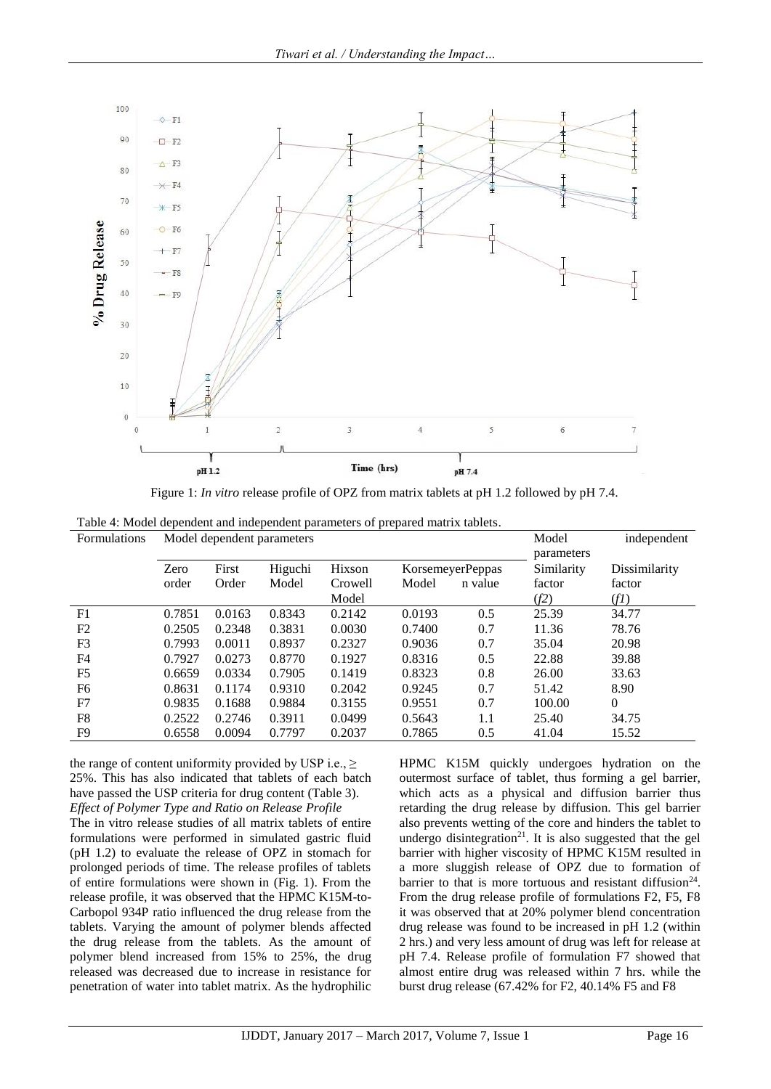

Figure 1: *In vitro* release profile of OPZ from matrix tablets at pH 1.2 followed by pH 7.4.

Table 4: Model dependent and independent parameters of prepared matrix tablets.

| <b>Formulations</b> | Model dependent parameters | Model  | independent |         |        |                  |            |               |
|---------------------|----------------------------|--------|-------------|---------|--------|------------------|------------|---------------|
|                     | Zero                       | First  |             | Hixson  |        |                  | parameters |               |
|                     |                            |        | Higuchi     |         |        | KorsemeyerPeppas | Similarity | Dissimilarity |
|                     | order                      | Order  | Model       | Crowell | Model  | n value          | factor     | factor        |
|                     |                            |        |             | Model   |        |                  | (f2)       | (fI)          |
| F1                  | 0.7851                     | 0.0163 | 0.8343      | 0.2142  | 0.0193 | 0.5              | 25.39      | 34.77         |
| F2                  | 0.2505                     | 0.2348 | 0.3831      | 0.0030  | 0.7400 | 0.7              | 11.36      | 78.76         |
| F3                  | 0.7993                     | 0.0011 | 0.8937      | 0.2327  | 0.9036 | 0.7              | 35.04      | 20.98         |
| F4                  | 0.7927                     | 0.0273 | 0.8770      | 0.1927  | 0.8316 | 0.5              | 22.88      | 39.88         |
| F <sub>5</sub>      | 0.6659                     | 0.0334 | 0.7905      | 0.1419  | 0.8323 | 0.8              | 26.00      | 33.63         |
| F6                  | 0.8631                     | 0.1174 | 0.9310      | 0.2042  | 0.9245 | 0.7              | 51.42      | 8.90          |
| F7                  | 0.9835                     | 0.1688 | 0.9884      | 0.3155  | 0.9551 | 0.7              | 100.00     | $\mathbf{0}$  |
| F8                  | 0.2522                     | 0.2746 | 0.3911      | 0.0499  | 0.5643 | 1.1              | 25.40      | 34.75         |
| F <sub>9</sub>      | 0.6558                     | 0.0094 | 0.7797      | 0.2037  | 0.7865 | 0.5              | 41.04      | 15.52         |

the range of content uniformity provided by USP i.e.,  $\geq$ 25%. This has also indicated that tablets of each batch have passed the USP criteria for drug content (Table 3). *Effect of Polymer Type and Ratio on Release Profile*

The in vitro release studies of all matrix tablets of entire formulations were performed in simulated gastric fluid (pH 1.2) to evaluate the release of OPZ in stomach for prolonged periods of time. The release profiles of tablets of entire formulations were shown in (Fig. 1). From the release profile, it was observed that the HPMC K15M-to-Carbopol 934P ratio influenced the drug release from the tablets. Varying the amount of polymer blends affected the drug release from the tablets. As the amount of polymer blend increased from 15% to 25%, the drug released was decreased due to increase in resistance for penetration of water into tablet matrix. As the hydrophilic HPMC K15M quickly undergoes hydration on the outermost surface of tablet, thus forming a gel barrier, which acts as a physical and diffusion barrier thus retarding the drug release by diffusion. This gel barrier also prevents wetting of the core and hinders the tablet to undergo disintegration<sup>21</sup>. It is also suggested that the gel barrier with higher viscosity of HPMC K15M resulted in a more sluggish release of OPZ due to formation of barrier to that is more tortuous and resistant diffusion<sup>24</sup>. From the drug release profile of formulations F2, F5, F8 it was observed that at 20% polymer blend concentration drug release was found to be increased in pH 1.2 (within 2 hrs.) and very less amount of drug was left for release at pH 7.4. Release profile of formulation F7 showed that almost entire drug was released within 7 hrs. while the burst drug release (67.42% for F2, 40.14% F5 and F8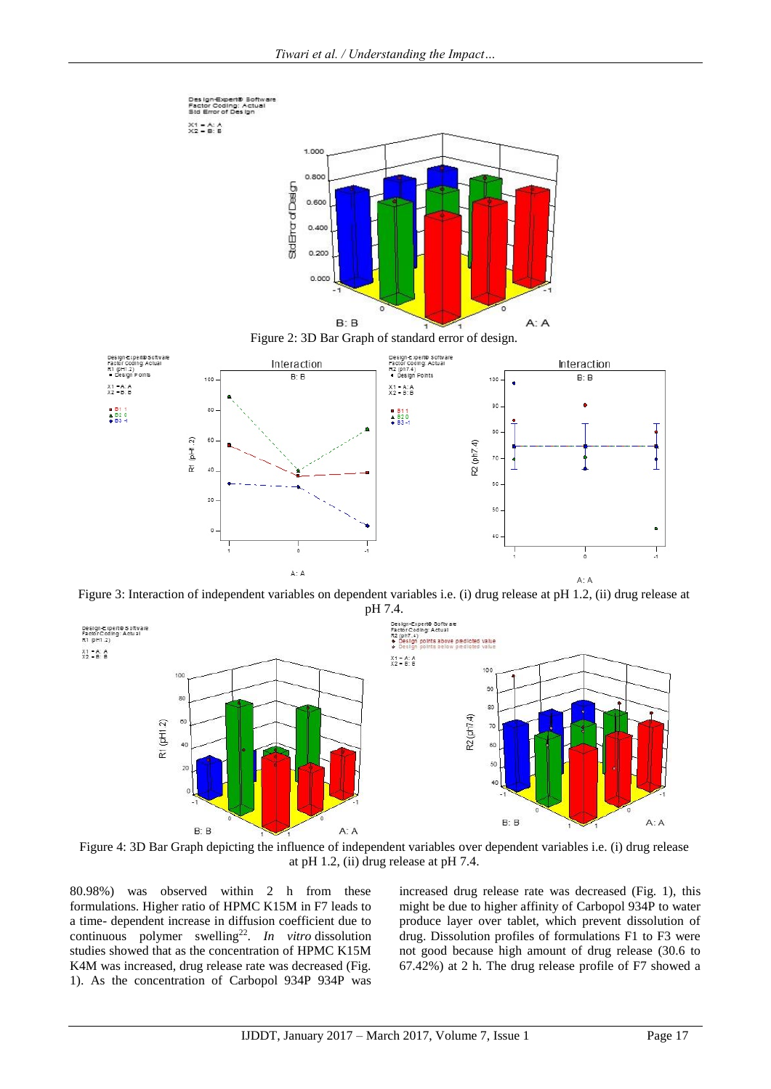

Figure 3: Interaction of independent variables on dependent variables i.e. (i) drug release at pH 1.2, (ii) drug release at pH 7.4.



Figure 4: 3D Bar Graph depicting the influence of independent variables over dependent variables i.e. (i) drug release at pH 1.2, (ii) drug release at pH 7.4.

80.98%) was observed within 2 h from these formulations. Higher ratio of HPMC K15M in F7 leads to a time- dependent increase in diffusion coefficient due to continuous polymer swelling<sup>22</sup>. In vitro dissolution studies showed that as the concentration of HPMC K15M K4M was increased, drug release rate was decreased (Fig. 1). As the concentration of Carbopol 934P 934P was

increased drug release rate was decreased (Fig. 1), this might be due to higher affinity of Carbopol 934P to water produce layer over tablet, which prevent dissolution of drug. Dissolution profiles of formulations F1 to F3 were not good because high amount of drug release (30.6 to 67.42%) at 2 h. The drug release profile of F7 showed a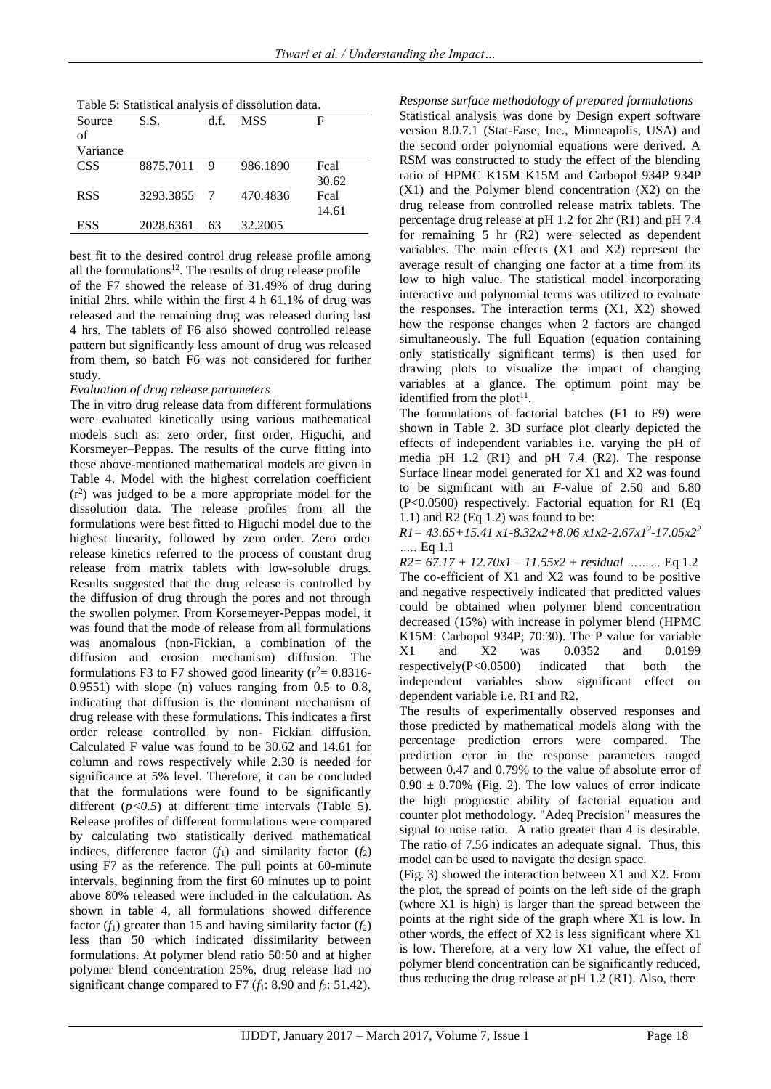| Table 5: Statistical analysis of dissolution data. |  |
|----------------------------------------------------|--|
|                                                    |  |

| Source     | S.S.        | d.f.         | <b>MSS</b> | F     |
|------------|-------------|--------------|------------|-------|
| of         |             |              |            |       |
| Variance   |             |              |            |       |
| <b>CSS</b> | 8875.7011   | $\mathbf{Q}$ | 986.1890   | Fcal  |
|            |             |              |            | 30.62 |
| <b>RSS</b> | 3293.3855 7 |              | 470.4836   | Fcal  |
|            |             |              |            | 14.61 |
| <b>ESS</b> | 2028.6361   | 63           | 32.2005    |       |

best fit to the desired control drug release profile among all the formulations $12$ . The results of drug release profile of the F7 showed the release of 31.49% of drug during initial 2hrs. while within the first 4 h 61.1% of drug was released and the remaining drug was released during last 4 hrs. The tablets of F6 also showed controlled release pattern but significantly less amount of drug was released from them, so batch F6 was not considered for further study.

#### *Evaluation of drug release parameters*

The in vitro drug release data from different formulations were evaluated kinetically using various mathematical models such as: zero order, first order, Higuchi, and Korsmeyer–Peppas. The results of the curve fitting into these above-mentioned mathematical models are given in Table 4. Model with the highest correlation coefficient  $(r<sup>2</sup>)$  was judged to be a more appropriate model for the dissolution data. The release profiles from all the formulations were best fitted to Higuchi model due to the highest linearity, followed by zero order. Zero order release kinetics referred to the process of constant drug release from matrix tablets with low-soluble drugs. Results suggested that the drug release is controlled by the diffusion of drug through the pores and not through the swollen polymer. From Korsemeyer-Peppas model, it was found that the mode of release from all formulations was anomalous (non-Fickian, a combination of the diffusion and erosion mechanism) diffusion. The formulations F3 to F7 showed good linearity ( $r^2$  = 0.8316-0.9551) with slope (n) values ranging from 0.5 to 0.8, indicating that diffusion is the dominant mechanism of drug release with these formulations. This indicates a first order release controlled by non- Fickian diffusion. Calculated F value was found to be 30.62 and 14.61 for column and rows respectively while 2.30 is needed for significance at 5% level. Therefore, it can be concluded that the formulations were found to be significantly different  $(p<0.5)$  at different time intervals (Table 5). Release profiles of different formulations were compared by calculating two statistically derived mathematical indices, difference factor  $(f_1)$  and similarity factor  $(f_2)$ using F7 as the reference. The pull points at 60-minute intervals, beginning from the first 60 minutes up to point above 80% released were included in the calculation. As shown in table 4, all formulations showed difference factor  $(f_1)$  greater than 15 and having similarity factor  $(f_2)$ less than 50 which indicated dissimilarity between formulations. At polymer blend ratio 50:50 and at higher polymer blend concentration 25%, drug release had no significant change compared to F7 ( $f_1$ : 8.90 and  $f_2$ : 51.42).

*Response surface methodology of prepared formulations*  Statistical analysis was done by Design expert software version 8.0.7.1 (Stat-Ease, Inc., Minneapolis, USA) and the second order polynomial equations were derived. A RSM was constructed to study the effect of the blending ratio of HPMC K15M K15M and Carbopol 934P 934P (X1) and the Polymer blend concentration (X2) on the drug release from controlled release matrix tablets. The percentage drug release at pH 1.2 for 2hr (R1) and pH 7.4 for remaining 5 hr (R2) were selected as dependent variables. The main effects (X1 and X2) represent the average result of changing one factor at a time from its low to high value. The statistical model incorporating interactive and polynomial terms was utilized to evaluate the responses. The interaction terms (X1, X2) showed how the response changes when 2 factors are changed simultaneously. The full Equation (equation containing only statistically significant terms) is then used for drawing plots to visualize the impact of changing variables at a glance. The optimum point may be identified from the plot<sup>11</sup>.

The formulations of factorial batches (F1 to F9) were shown in Table 2. 3D surface plot clearly depicted the effects of independent variables i.e. varying the pH of media pH 1.2 (R1) and pH 7.4 (R2). The response Surface linear model generated for X1 and X2 was found to be significant with an *F*-value of 2.50 and 6.80 (P<0.0500) respectively. Factorial equation for R1 (Eq 1.1) and R2 (Eq 1.2) was found to be:

*R1= 43.65+15.41 x1-8.32x2+8.06 x1x2-2.67x1<sup>2</sup> -17.05x2<sup>2</sup> …..* Eq 1.1

*R2= 67.17 + 12.70x1 – 11.55x2 + residual ………* Eq 1.2 The co-efficient of X1 and X2 was found to be positive and negative respectively indicated that predicted values could be obtained when polymer blend concentration decreased (15%) with increase in polymer blend (HPMC K15M: Carbopol 934P; 70:30). The P value for variable X1 and X2 was 0.0352 and 0.0199 respectively(P<0.0500) indicated that both the independent variables show significant effect on dependent variable i.e. R1 and R2.

The results of experimentally observed responses and those predicted by mathematical models along with the percentage prediction errors were compared. The prediction error in the response parameters ranged between 0.47 and 0.79% to the value of absolute error of  $0.90 \pm 0.70\%$  (Fig. 2). The low values of error indicate the high prognostic ability of factorial equation and counter plot methodology. "Adeq Precision" measures the signal to noise ratio. A ratio greater than 4 is desirable. The ratio of 7.56 indicates an adequate signal. Thus, this model can be used to navigate the design space.

(Fig. 3) showed the interaction between X1 and X2. From the plot, the spread of points on the left side of the graph (where X1 is high) is larger than the spread between the points at the right side of the graph where X1 is low. In other words, the effect of X2 is less significant where X1 is low. Therefore, at a very low X1 value, the effect of polymer blend concentration can be significantly reduced, thus reducing the drug release at pH 1.2 (R1). Also, there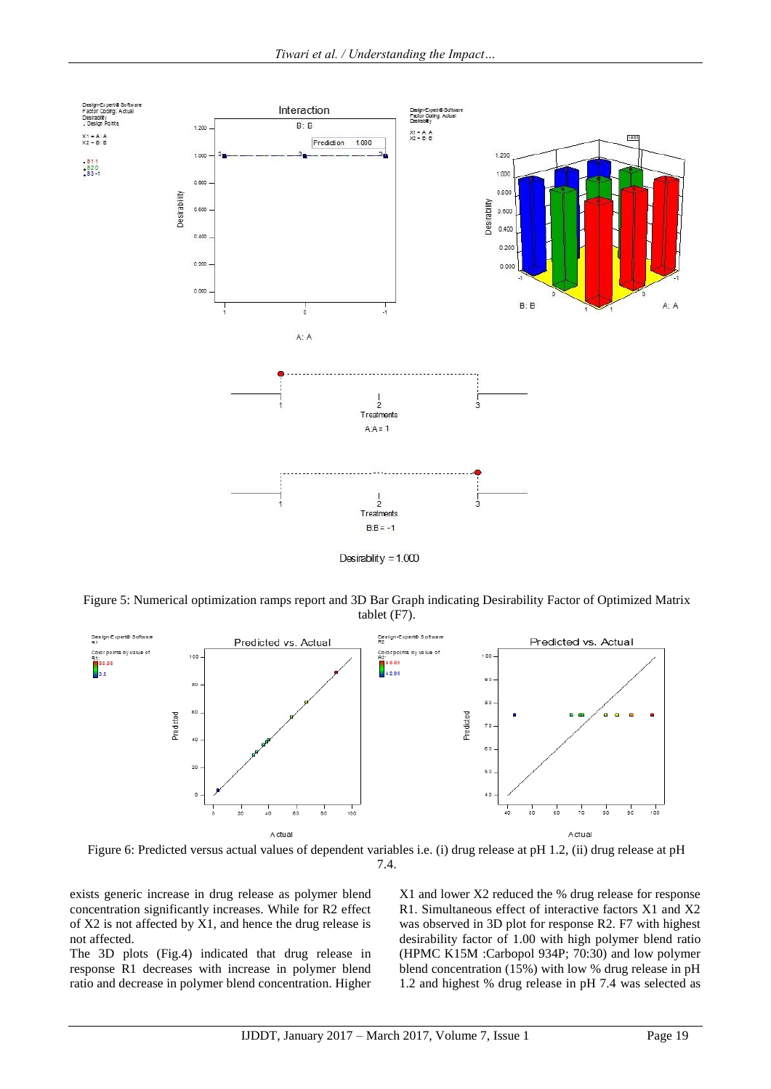

Desirability =  $1.000$ 

Figure 5: Numerical optimization ramps report and 3D Bar Graph indicating Desirability Factor of Optimized Matrix tablet (F7).



Figure 6: Predicted versus actual values of dependent variables i.e. (i) drug release at pH 1.2, (ii) drug release at pH 7.4.

exists generic increase in drug release as polymer blend concentration significantly increases. While for R2 effect of X2 is not affected by X1, and hence the drug release is not affected.

The 3D plots (Fig.4) indicated that drug release in response R1 decreases with increase in polymer blend ratio and decrease in polymer blend concentration. Higher X1 and lower X2 reduced the % drug release for response R1. Simultaneous effect of interactive factors X1 and X2 was observed in 3D plot for response R2. F7 with highest desirability factor of 1.00 with high polymer blend ratio (HPMC K15M :Carbopol 934P; 70:30) and low polymer blend concentration (15%) with low % drug release in pH 1.2 and highest % drug release in pH 7.4 was selected as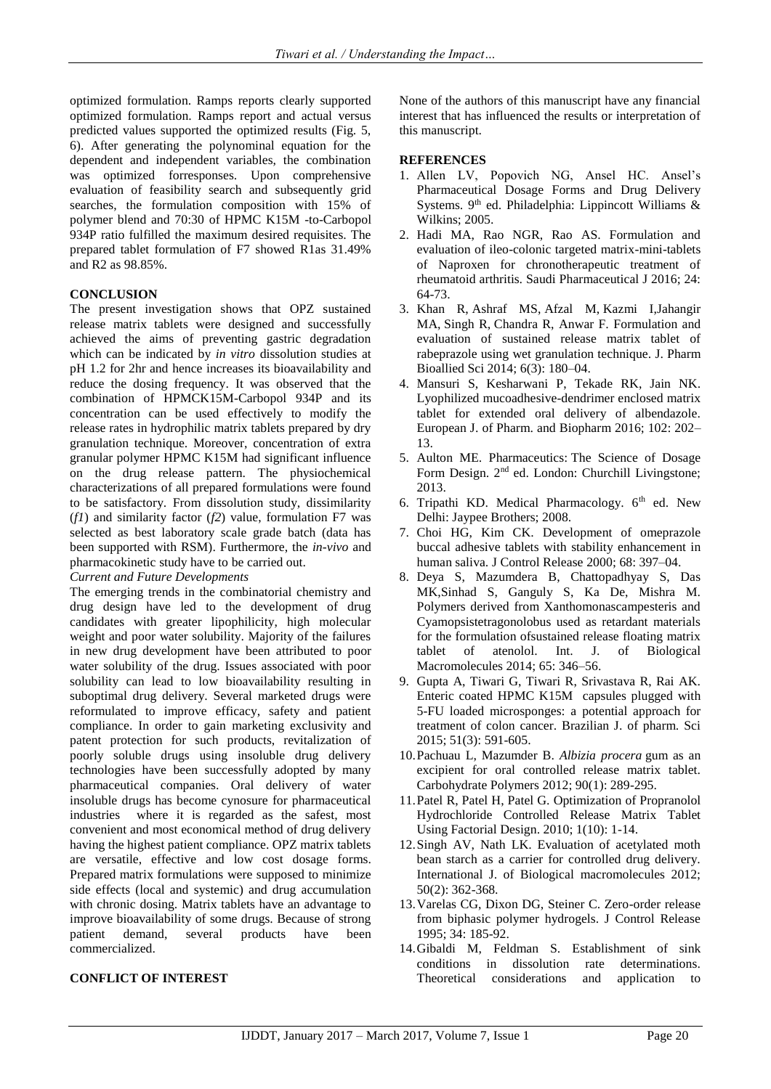optimized formulation. Ramps reports clearly supported optimized formulation. Ramps report and actual versus predicted values supported the optimized results (Fig. 5, 6). After generating the polynominal equation for the dependent and independent variables, the combination was optimized forresponses. Upon comprehensive evaluation of feasibility search and subsequently grid searches, the formulation composition with 15% of polymer blend and 70:30 of HPMC K15M -to-Carbopol 934P ratio fulfilled the maximum desired requisites. The prepared tablet formulation of F7 showed R1as 31.49% and R2 as 98.85%.

## **CONCLUSION**

The present investigation shows that OPZ sustained release matrix tablets were designed and successfully achieved the aims of preventing gastric degradation which can be indicated by *in vitro* dissolution studies at pH 1.2 for 2hr and hence increases its bioavailability and reduce the dosing frequency. It was observed that the combination of HPMCK15M-Carbopol 934P and its concentration can be used effectively to modify the release rates in hydrophilic matrix tablets prepared by dry granulation technique. Moreover, concentration of extra granular polymer HPMC K15M had significant influence on the drug release pattern. The physiochemical characterizations of all prepared formulations were found to be satisfactory. From dissolution study, dissimilarity (*f1*) and similarity factor (*f2*) value, formulation F7 was selected as best laboratory scale grade batch (data has been supported with RSM). Furthermore, the *in-vivo* and pharmacokinetic study have to be carried out.

*Current and Future Developments*

The emerging trends in the combinatorial chemistry and drug design have led to the development of drug candidates with greater lipophilicity, high molecular weight and poor water solubility. Majority of the failures in new drug development have been attributed to poor water solubility of the drug. Issues associated with poor solubility can lead to low bioavailability resulting in suboptimal drug delivery. Several marketed drugs were reformulated to improve efficacy, safety and patient compliance. In order to gain marketing exclusivity and patent protection for such products, revitalization of poorly soluble drugs using insoluble drug delivery technologies have been successfully adopted by many pharmaceutical companies. Oral delivery of water insoluble drugs has become cynosure for pharmaceutical industries where it is regarded as the safest, most convenient and most economical method of drug delivery having the highest patient compliance. OPZ matrix tablets are versatile, effective and low cost dosage forms. Prepared matrix formulations were supposed to minimize side effects (local and systemic) and drug accumulation with chronic dosing. Matrix tablets have an advantage to improve bioavailability of some drugs. Because of strong patient demand, several products have been commercialized.

# **CONFLICT OF INTEREST**

None of the authors of this manuscript have any financial interest that has influenced the results or interpretation of this manuscript.

## **REFERENCES**

- 1. Allen LV, Popovich NG, Ansel HC. Ansel's Pharmaceutical Dosage Forms and Drug Delivery Systems. 9<sup>th</sup> ed. Philadelphia: Lippincott Williams & Wilkins; 2005.
- 2. Hadi MA, Rao NGR, Rao AS. Formulation and evaluation of ileo-colonic targeted matrix-mini-tablets of Naproxen for chronotherapeutic treatment of rheumatoid arthritis. Saudi Pharmaceutical J 2016; 24: 64-73.
- 3. [Khan](http://www.ncbi.nlm.nih.gov/pubmed/?term=Khan%20R%5Bauth%5D) R, [Ashraf](http://www.ncbi.nlm.nih.gov/pubmed/?term=Ashraf%20MS%5Bauth%5D) MS, [Afzal](http://www.ncbi.nlm.nih.gov/pubmed/?term=Afzal%20M%5Bauth%5D) M, [Kazmi](http://www.ncbi.nlm.nih.gov/pubmed/?term=Kazmi%20I%5Bauth%5D) I[,Jahangir](http://www.ncbi.nlm.nih.gov/pubmed/?term=Jahangir%20MA%5Bauth%5D) MA, [Singh](http://www.ncbi.nlm.nih.gov/pubmed/?term=Singh%20R%5Bauth%5D) R, [Chandra](http://www.ncbi.nlm.nih.gov/pubmed/?term=Chandra%20R%5Bauth%5D) R, Anwar F. Formulation and evaluation of sustained release matrix tablet of rabeprazole using wet granulation technique. J. Pharm Bioallied Sci 2014; 6(3): 180–04.
- 4. Mansuri S, Kesharwani P, Tekade RK, Jain NK. Lyophilized mucoadhesive-dendrimer enclosed matrix tablet for extended oral delivery of albendazole. European J. of Pharm. and Biopharm 2016; 102: 202– 13.
- 5. Aulton ME. Pharmaceutics: The Science of Dosage Form Design. 2nd ed. London: Churchill Livingstone; 2013.
- 6. Tripathi KD. Medical Pharmacology.  $6<sup>th</sup>$  ed. New Delhi: Jaypee Brothers; 2008.
- 7. Choi HG, Kim CK. Development of omeprazole buccal adhesive tablets with stability enhancement in human saliva. J Control Release 2000; 68: 397–04.
- 8. Deya S, Mazumdera B, Chattopadhyay S, Das MK,Sinhad S, Ganguly S, Ka De, Mishra M. Polymers derived from Xanthomonascampesteris and Cyamopsistetragonolobus used as retardant materials for the formulation ofsustained release floating matrix tablet of atenolol. Int. J. of Biological Macromolecules 2014; 65: 346–56.
- 9. Gupta A, Tiwari G, Tiwari R, Srivastava R, Rai AK. Enteric coated HPMC K15M capsules plugged with 5-FU loaded microsponges: a potential approach for treatment of colon cancer. Brazilian J. of pharm. Sci 2015; 51(3): 591-605.
- 10[.Pachuau](http://www.sciencedirect.com/science/article/pii/S0144861712004602) L, [Mazumder](http://www.sciencedirect.com/science/article/pii/S0144861712004602) B. *Albizia procera* gum as an excipient for oral controlled release matrix tablet. [Carbohydrate Polymers](http://www.sciencedirect.com/science/journal/01448617) 2012; 90(1): 289-295.
- 11.Patel R, Patel H, Patel G. [Optimization of Propranolol](http://www.webmedcentral.com/article_view/914)  [Hydrochloride Controlled Release Matrix Tablet](http://www.webmedcentral.com/article_view/914)  [Using Factorial Design.](http://www.webmedcentral.com/article_view/914) 2010; 1(10): 1-14.
- 12.Singh AV, Nath LK. Evaluation of acetylated moth bean starch as a carrier for controlled drug delivery. International J. of Biological macromolecules 2012; 50(2): 362-368.
- 13.Varelas CG, Dixon DG, Steiner C. Zero-order release from biphasic polymer hydrogels. J Control Release 1995; 34: 185-92.
- 14.Gibaldi M, Feldman S. Establishment of sink conditions in dissolution rate determinations. Theoretical considerations and application to